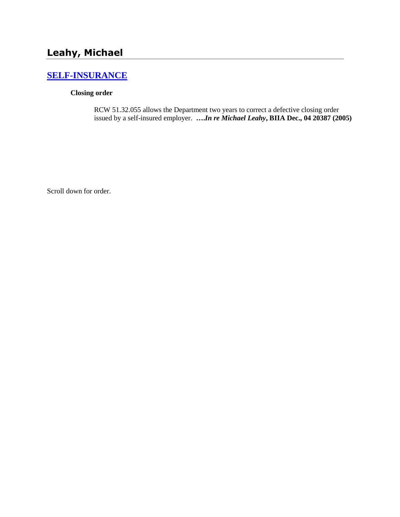## **[SELF-INSURANCE](http://www.biia.wa.gov/SDSubjectIndex.html#SELF_INSURANCE)**

## **Closing order**

RCW 51.32.055 allows the Department two years to correct a defective closing order issued by a self-insured employer. **….***In re Michael Leahy***, BIIA Dec., 04 20387 (2005)**

Scroll down for order.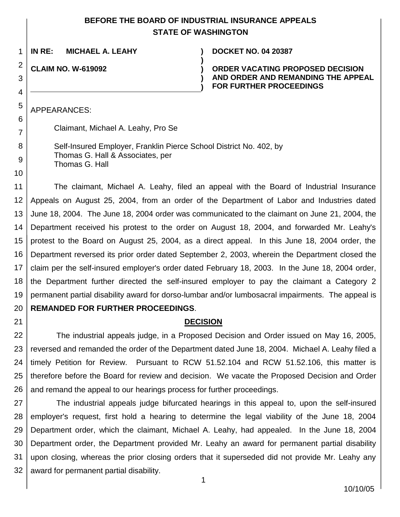## **BEFORE THE BOARD OF INDUSTRIAL INSURANCE APPEALS STATE OF WASHINGTON**

**)**

**) )**

1 **IN RE: MICHAEL A. LEAHY ) DOCKET NO. 04 20387**

**CLAIM NO. W-619092 )**

**ORDER VACATING PROPOSED DECISION AND ORDER AND REMANDING THE APPEAL FOR FURTHER PROCEEDINGS**

APPEARANCES:

Claimant, Michael A. Leahy, Pro Se

Self-Insured Employer, Franklin Pierce School District No. 402, by Thomas G. Hall & Associates, per Thomas G. Hall

The claimant, Michael A. Leahy, filed an appeal with the Board of Industrial Insurance Appeals on August 25, 2004, from an order of the Department of Labor and Industries dated June 18, 2004. The June 18, 2004 order was communicated to the claimant on June 21, 2004, the Department received his protest to the order on August 18, 2004, and forwarded Mr. Leahy's protest to the Board on August 25, 2004, as a direct appeal. In this June 18, 2004 order, the Department reversed its prior order dated September 2, 2003, wherein the Department closed the claim per the self-insured employer's order dated February 18, 2003. In the June 18, 2004 order, the Department further directed the self-insured employer to pay the claimant a Category 2 permanent partial disability award for dorso-lumbar and/or lumbosacral impairments. The appeal is **REMANDED FOR FURTHER PROCEEDINGS**.

## **DECISION**

25 26 The industrial appeals judge, in a Proposed Decision and Order issued on May 16, 2005, reversed and remanded the order of the Department dated June 18, 2004. Michael A. Leahy filed a timely Petition for Review. Pursuant to RCW 51.52.104 and RCW 51.52.106, this matter is therefore before the Board for review and decision. We vacate the Proposed Decision and Order and remand the appeal to our hearings process for further proceedings.

27 28 29 30 31 32 The industrial appeals judge bifurcated hearings in this appeal to, upon the self-insured employer's request, first hold a hearing to determine the legal viability of the June 18, 2004 Department order, which the claimant, Michael A. Leahy, had appealed. In the June 18, 2004 Department order, the Department provided Mr. Leahy an award for permanent partial disability upon closing, whereas the prior closing orders that it superseded did not provide Mr. Leahy any award for permanent partial disability.

2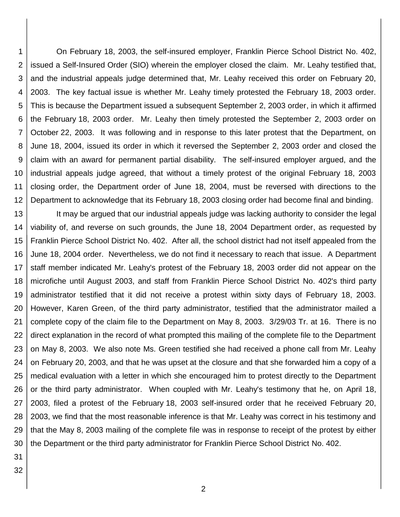1 2 3 4 5 6 7 8 9 10 11 12 On February 18, 2003, the self-insured employer, Franklin Pierce School District No. 402, issued a Self-Insured Order (SIO) wherein the employer closed the claim. Mr. Leahy testified that, and the industrial appeals judge determined that, Mr. Leahy received this order on February 20, 2003. The key factual issue is whether Mr. Leahy timely protested the February 18, 2003 order. This is because the Department issued a subsequent September 2, 2003 order, in which it affirmed the February 18, 2003 order. Mr. Leahy then timely protested the September 2, 2003 order on October 22, 2003. It was following and in response to this later protest that the Department, on June 18, 2004, issued its order in which it reversed the September 2, 2003 order and closed the claim with an award for permanent partial disability. The self-insured employer argued, and the industrial appeals judge agreed, that without a timely protest of the original February 18, 2003 closing order, the Department order of June 18, 2004, must be reversed with directions to the Department to acknowledge that its February 18, 2003 closing order had become final and binding.

13 14 15 16 17 18 19 20 21 22 23 24 25 26 27 28 29 30 It may be argued that our industrial appeals judge was lacking authority to consider the legal viability of, and reverse on such grounds, the June 18, 2004 Department order, as requested by Franklin Pierce School District No. 402. After all, the school district had not itself appealed from the June 18, 2004 order. Nevertheless, we do not find it necessary to reach that issue. A Department staff member indicated Mr. Leahy's protest of the February 18, 2003 order did not appear on the microfiche until August 2003, and staff from Franklin Pierce School District No. 402's third party administrator testified that it did not receive a protest within sixty days of February 18, 2003. However, Karen Green, of the third party administrator, testified that the administrator mailed a complete copy of the claim file to the Department on May 8, 2003. 3/29/03 Tr. at 16. There is no direct explanation in the record of what prompted this mailing of the complete file to the Department on May 8, 2003. We also note Ms. Green testified she had received a phone call from Mr. Leahy on February 20, 2003, and that he was upset at the closure and that she forwarded him a copy of a medical evaluation with a letter in which she encouraged him to protest directly to the Department or the third party administrator. When coupled with Mr. Leahy's testimony that he, on April 18, 2003, filed a protest of the February 18, 2003 self-insured order that he received February 20, 2003, we find that the most reasonable inference is that Mr. Leahy was correct in his testimony and that the May 8, 2003 mailing of the complete file was in response to receipt of the protest by either the Department or the third party administrator for Franklin Pierce School District No. 402.

31

32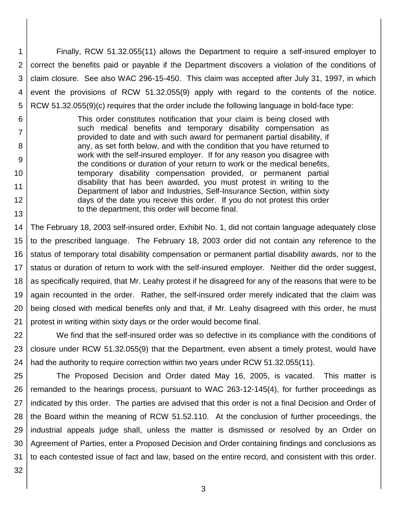1 2 3 4 5 Finally, RCW 51.32.055(11) allows the Department to require a self-insured employer to correct the benefits paid or payable if the Department discovers a violation of the conditions of claim closure. See also WAC 296-15-450. This claim was accepted after July 31, 1997, in which event the provisions of RCW 51.32.055(9) apply with regard to the contents of the notice. RCW 51.32.055(9)(c) requires that the order include the following language in bold-face type:

This order constitutes notification that your claim is being closed with such medical benefits and temporary disability compensation as provided to date and with such award for permanent partial disability, if any, as set forth below, and with the condition that you have returned to work with the self-insured employer. If for any reason you disagree with the conditions or duration of your return to work or the medical benefits, temporary disability compensation provided, or permanent partial disability that has been awarded, you must protest in writing to the Department of labor and Industries, Self-Insurance Section, within sixty days of the date you receive this order. If you do not protest this order to the department, this order will become final.

14 15 16 17 18 19 20 21 The February 18, 2003 self-insured order, Exhibit No. 1, did not contain language adequately close to the prescribed language. The February 18, 2003 order did not contain any reference to the status of temporary total disability compensation or permanent partial disability awards, nor to the status or duration of return to work with the self-insured employer. Neither did the order suggest, as specifically required, that Mr. Leahy protest if he disagreed for any of the reasons that were to be again recounted in the order. Rather, the self-insured order merely indicated that the claim was being closed with medical benefits only and that, if Mr. Leahy disagreed with this order, he must protest in writing within sixty days or the order would become final.

22 23 24 We find that the self-insured order was so defective in its compliance with the conditions of closure under RCW 51.32.055(9) that the Department, even absent a timely protest, would have had the authority to require correction within two years under RCW 51.32.055(11).

25 26 27 28 29 30 31 The Proposed Decision and Order dated May 16, 2005, is vacated. This matter is remanded to the hearings process, pursuant to WAC 263-12-145(4), for further proceedings as indicated by this order. The parties are advised that this order is not a final Decision and Order of the Board within the meaning of RCW 51.52.110. At the conclusion of further proceedings, the industrial appeals judge shall, unless the matter is dismissed or resolved by an Order on Agreement of Parties, enter a Proposed Decision and Order containing findings and conclusions as to each contested issue of fact and law, based on the entire record, and consistent with this order.

32

6

7

8

9

10

11

12

13

3